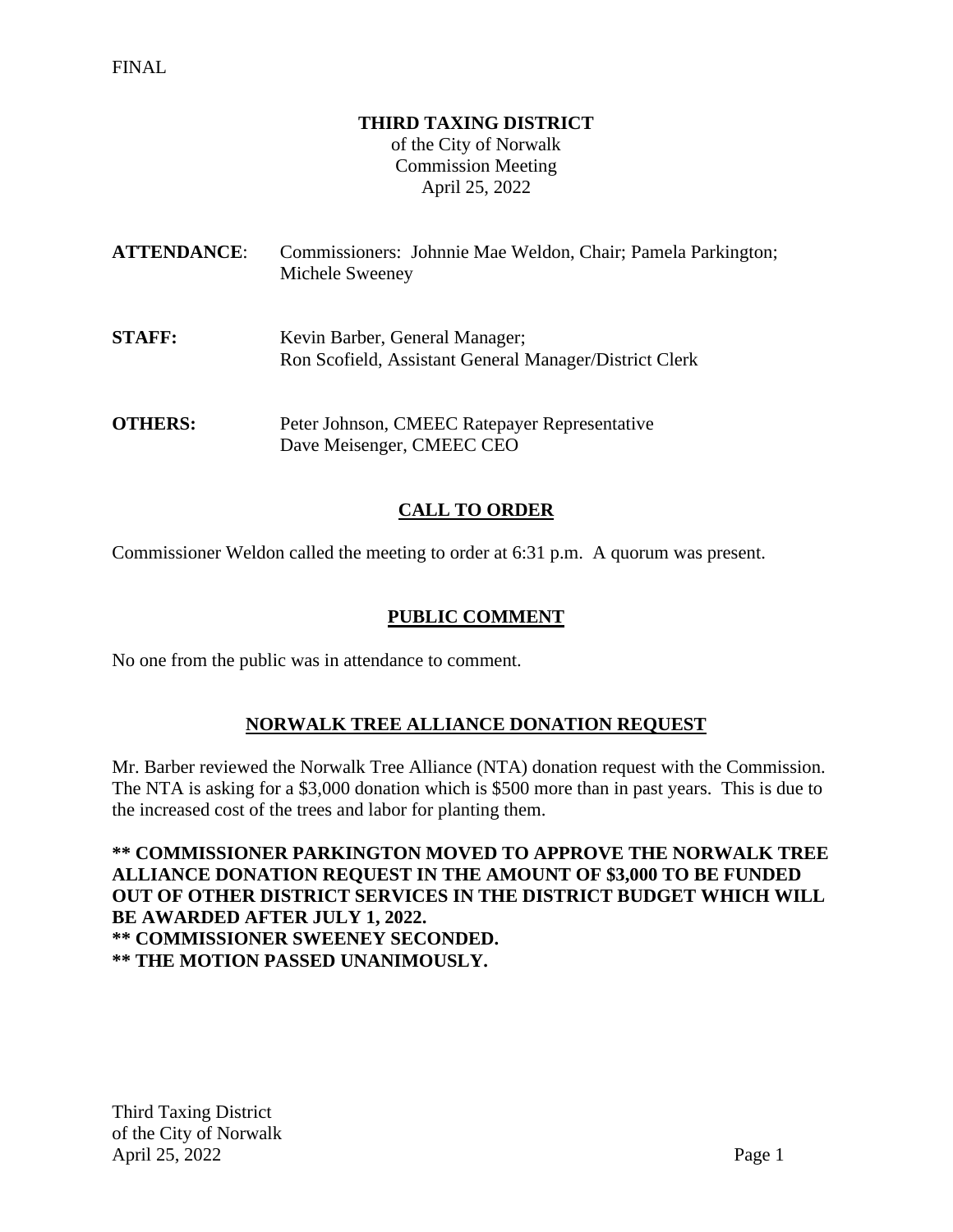#### **THIRD TAXING DISTRICT**

of the City of Norwalk Commission Meeting April 25, 2022

| <b>ATTENDANCE:</b> | Commissioners: Johnnie Mae Weldon, Chair; Pamela Parkington;<br>Michele Sweeney          |
|--------------------|------------------------------------------------------------------------------------------|
| <b>STAFF:</b>      | Kevin Barber, General Manager;<br>Ron Scofield, Assistant General Manager/District Clerk |
| <b>OTHERS:</b>     | Peter Johnson, CMEEC Ratepayer Representative<br>Dave Meisenger, CMEEC CEO               |

## **CALL TO ORDER**

Commissioner Weldon called the meeting to order at 6:31 p.m. A quorum was present.

#### **PUBLIC COMMENT**

No one from the public was in attendance to comment.

# **NORWALK TREE ALLIANCE DONATION REQUEST**

Mr. Barber reviewed the Norwalk Tree Alliance (NTA) donation request with the Commission. The NTA is asking for a \$3,000 donation which is \$500 more than in past years. This is due to the increased cost of the trees and labor for planting them.

**\*\* COMMISSIONER PARKINGTON MOVED TO APPROVE THE NORWALK TREE ALLIANCE DONATION REQUEST IN THE AMOUNT OF \$3,000 TO BE FUNDED OUT OF OTHER DISTRICT SERVICES IN THE DISTRICT BUDGET WHICH WILL BE AWARDED AFTER JULY 1, 2022. \*\* COMMISSIONER SWEENEY SECONDED. \*\* THE MOTION PASSED UNANIMOUSLY.**

Third Taxing District of the City of Norwalk April 25, 2022 Page 1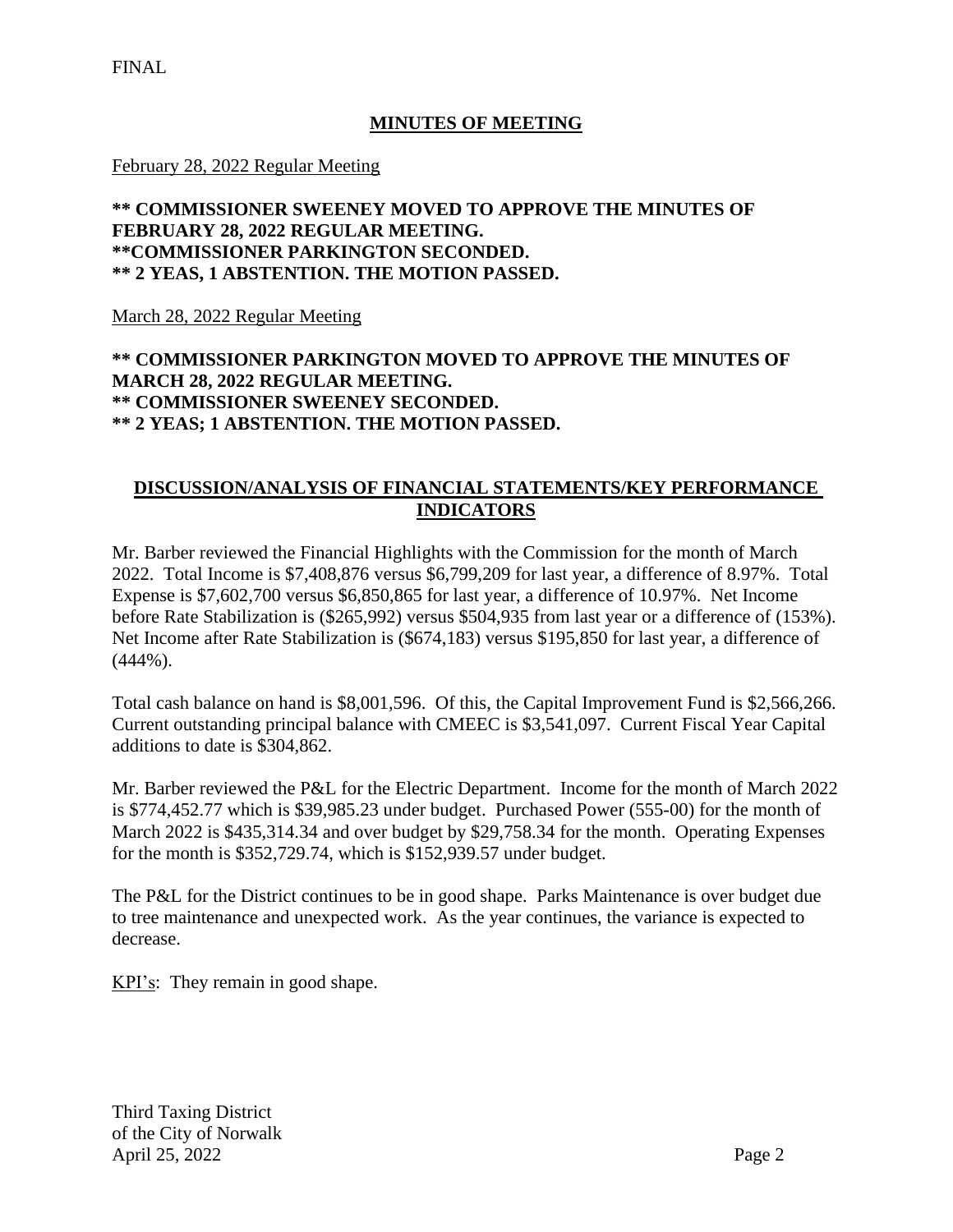### **MINUTES OF MEETING**

February 28, 2022 Regular Meeting

### **\*\* COMMISSIONER SWEENEY MOVED TO APPROVE THE MINUTES OF FEBRUARY 28, 2022 REGULAR MEETING. \*\*COMMISSIONER PARKINGTON SECONDED. \*\* 2 YEAS, 1 ABSTENTION. THE MOTION PASSED.**

March 28, 2022 Regular Meeting

### **\*\* COMMISSIONER PARKINGTON MOVED TO APPROVE THE MINUTES OF MARCH 28, 2022 REGULAR MEETING. \*\* COMMISSIONER SWEENEY SECONDED. \*\* 2 YEAS; 1 ABSTENTION. THE MOTION PASSED.**

## **DISCUSSION/ANALYSIS OF FINANCIAL STATEMENTS/KEY PERFORMANCE INDICATORS**

Mr. Barber reviewed the Financial Highlights with the Commission for the month of March 2022. Total Income is \$7,408,876 versus \$6,799,209 for last year, a difference of 8.97%. Total Expense is \$7,602,700 versus \$6,850,865 for last year, a difference of 10.97%. Net Income before Rate Stabilization is (\$265,992) versus \$504,935 from last year or a difference of (153%). Net Income after Rate Stabilization is (\$674,183) versus \$195,850 for last year, a difference of (444%).

Total cash balance on hand is \$8,001,596. Of this, the Capital Improvement Fund is \$2,566,266. Current outstanding principal balance with CMEEC is \$3,541,097. Current Fiscal Year Capital additions to date is \$304,862.

Mr. Barber reviewed the P&L for the Electric Department. Income for the month of March 2022 is \$774,452.77 which is \$39,985.23 under budget. Purchased Power (555-00) for the month of March 2022 is \$435,314.34 and over budget by \$29,758.34 for the month. Operating Expenses for the month is \$352,729.74, which is \$152,939.57 under budget.

The P&L for the District continues to be in good shape. Parks Maintenance is over budget due to tree maintenance and unexpected work. As the year continues, the variance is expected to decrease.

KPI's: They remain in good shape.

Third Taxing District of the City of Norwalk April 25, 2022 Page 2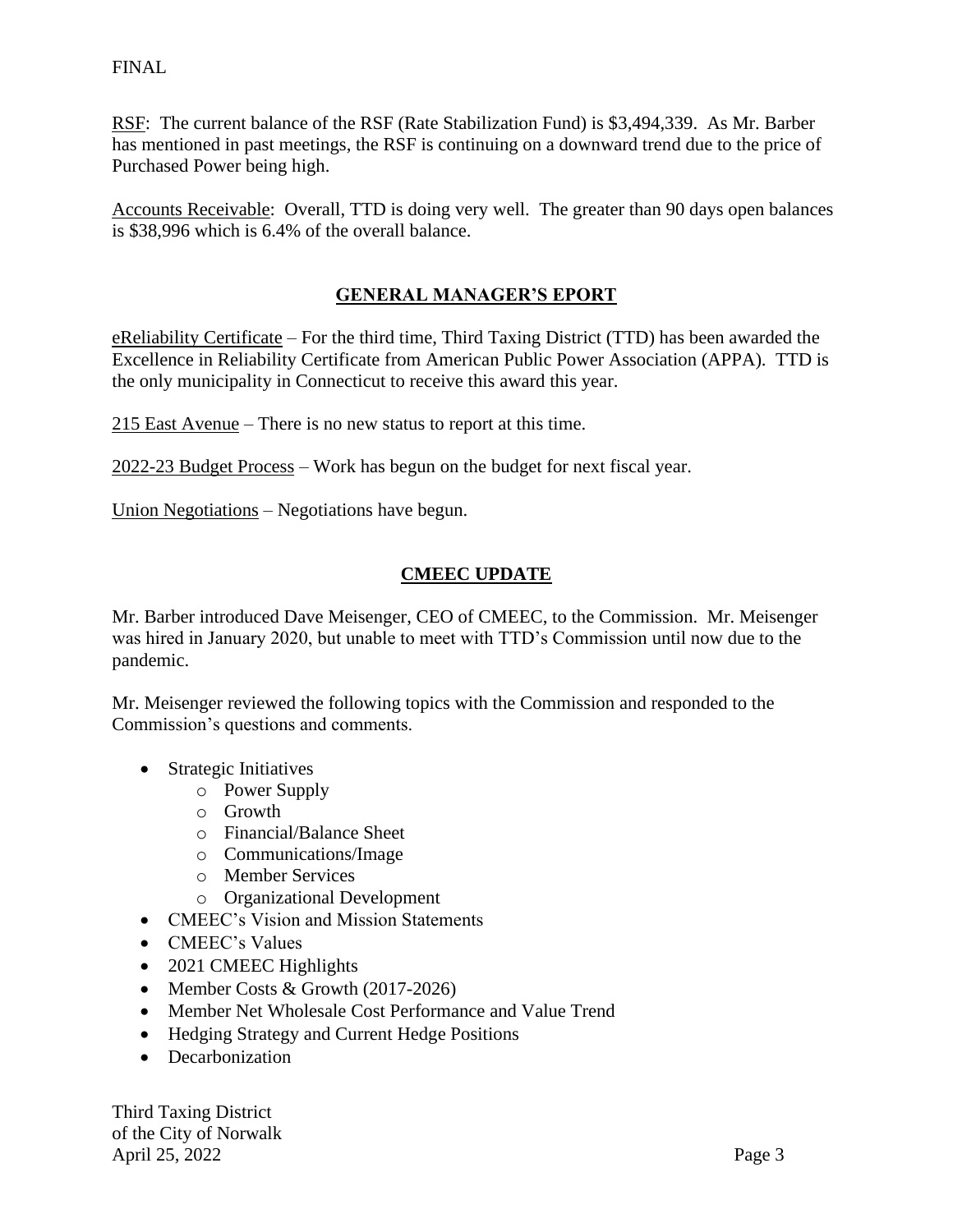RSF: The current balance of the RSF (Rate Stabilization Fund) is \$3,494,339. As Mr. Barber has mentioned in past meetings, the RSF is continuing on a downward trend due to the price of Purchased Power being high.

Accounts Receivable: Overall, TTD is doing very well. The greater than 90 days open balances is \$38,996 which is 6.4% of the overall balance.

## **GENERAL MANAGER'S EPORT**

eReliability Certificate – For the third time, Third Taxing District (TTD) has been awarded the Excellence in Reliability Certificate from American Public Power Association (APPA). TTD is the only municipality in Connecticut to receive this award this year.

215 East Avenue – There is no new status to report at this time.

2022-23 Budget Process – Work has begun on the budget for next fiscal year.

Union Negotiations – Negotiations have begun.

#### **CMEEC UPDATE**

Mr. Barber introduced Dave Meisenger, CEO of CMEEC, to the Commission. Mr. Meisenger was hired in January 2020, but unable to meet with TTD's Commission until now due to the pandemic.

Mr. Meisenger reviewed the following topics with the Commission and responded to the Commission's questions and comments.

- Strategic Initiatives
	- o Power Supply
	- o Growth
	- o Financial/Balance Sheet
	- o Communications/Image
	- o Member Services
	- o Organizational Development
- CMEEC's Vision and Mission Statements
- CMEEC's Values
- 2021 CMEEC Highlights
- Member Costs & Growth (2017-2026)
- Member Net Wholesale Cost Performance and Value Trend
- Hedging Strategy and Current Hedge Positions
- Decarbonization

Third Taxing District of the City of Norwalk April 25, 2022 Page 3